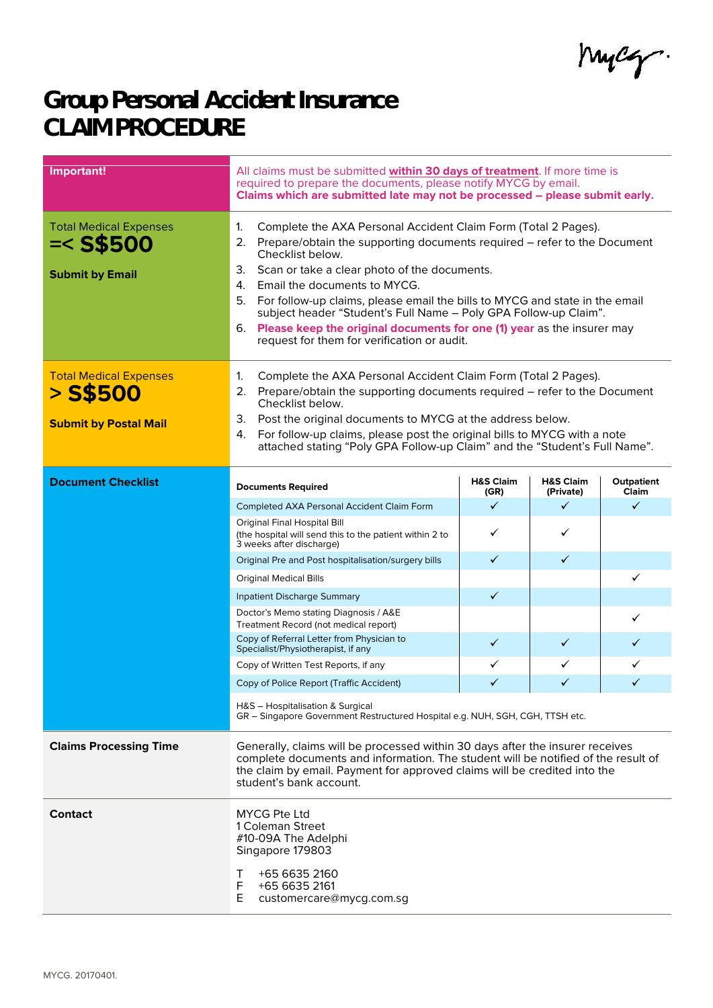myeg.

## **Group Personal Accident Insurance CLAIM PROCEDURE**

| Important!                                                                | All claims must be submitted within 30 days of treatment. If more time is<br>required to prepare the documents, please notify MYCG by email.<br>Claims which are submitted late may not be processed - please submit early.                                                                                                                                                                                                                                                                                                                                 |                              |                                   |                     |  |
|---------------------------------------------------------------------------|-------------------------------------------------------------------------------------------------------------------------------------------------------------------------------------------------------------------------------------------------------------------------------------------------------------------------------------------------------------------------------------------------------------------------------------------------------------------------------------------------------------------------------------------------------------|------------------------------|-----------------------------------|---------------------|--|
| <b>Total Medical Expenses</b><br>$=<$ S\$500<br><b>Submit by Email</b>    | Complete the AXA Personal Accident Claim Form (Total 2 Pages).<br>1.<br>2.<br>Prepare/obtain the supporting documents required – refer to the Document<br>Checklist below.<br>Scan or take a clear photo of the documents.<br>3.<br>Email the documents to MYCG.<br>4.<br>5.<br>For follow-up claims, please email the bills to MYCG and state in the email<br>subject header "Student's Full Name - Poly GPA Follow-up Claim".<br>6. Please keep the original documents for one (1) year as the insurer may<br>request for them for verification or audit. |                              |                                   |                     |  |
| <b>Total Medical Expenses</b><br>> S\$500<br><b>Submit by Postal Mail</b> | Complete the AXA Personal Accident Claim Form (Total 2 Pages).<br>1.<br>2. Prepare/obtain the supporting documents required - refer to the Document<br>Checklist below.<br>Post the original documents to MYCG at the address below.<br>З.<br>For follow-up claims, please post the original bills to MYCG with a note<br>4.                                                                                                                                                                                                                                |                              |                                   |                     |  |
|                                                                           | attached stating "Poly GPA Follow-up Claim" and the "Student's Full Name".                                                                                                                                                                                                                                                                                                                                                                                                                                                                                  |                              |                                   |                     |  |
| <b>Document Checklist</b>                                                 | <b>Documents Required</b>                                                                                                                                                                                                                                                                                                                                                                                                                                                                                                                                   | <b>H&amp;S Claim</b><br>(GR) | <b>H&amp;S Claim</b><br>(Private) | Outpatient<br>Claim |  |
|                                                                           | Completed AXA Personal Accident Claim Form                                                                                                                                                                                                                                                                                                                                                                                                                                                                                                                  | $\checkmark$                 | ✓                                 | ✓                   |  |
|                                                                           | <b>Original Final Hospital Bill</b><br>(the hospital will send this to the patient within 2 to<br>3 weeks after discharge)                                                                                                                                                                                                                                                                                                                                                                                                                                  | ✓                            | ✓                                 |                     |  |
|                                                                           | Original Pre and Post hospitalisation/surgery bills                                                                                                                                                                                                                                                                                                                                                                                                                                                                                                         | $\checkmark$                 | ✓                                 |                     |  |
|                                                                           | <b>Original Medical Bills</b>                                                                                                                                                                                                                                                                                                                                                                                                                                                                                                                               |                              |                                   | ✓                   |  |
|                                                                           | <b>Inpatient Discharge Summary</b>                                                                                                                                                                                                                                                                                                                                                                                                                                                                                                                          | $\checkmark$                 |                                   |                     |  |
|                                                                           | Doctor's Memo stating Diagnosis / A&E<br>Treatment Record (not medical report)                                                                                                                                                                                                                                                                                                                                                                                                                                                                              |                              |                                   | ✓                   |  |
|                                                                           | Copy of Referral Letter from Physician to<br>Specialist/Physiotherapist, if any                                                                                                                                                                                                                                                                                                                                                                                                                                                                             | ✓                            | $\checkmark$                      | ✓                   |  |
|                                                                           | Copy of Written Test Reports, if any                                                                                                                                                                                                                                                                                                                                                                                                                                                                                                                        | ✓                            | ✓                                 | ✓                   |  |
|                                                                           | Copy of Police Report (Traffic Accident)                                                                                                                                                                                                                                                                                                                                                                                                                                                                                                                    | ✓                            | ✓                                 | ✓                   |  |
|                                                                           | H&S - Hospitalisation & Surgical<br>GR - Singapore Government Restructured Hospital e.g. NUH, SGH, CGH, TTSH etc.                                                                                                                                                                                                                                                                                                                                                                                                                                           |                              |                                   |                     |  |
| <b>Claims Processing Time</b>                                             | Generally, claims will be processed within 30 days after the insurer receives<br>complete documents and information. The student will be notified of the result of<br>the claim by email. Payment for approved claims will be credited into the<br>student's bank account.                                                                                                                                                                                                                                                                                  |                              |                                   |                     |  |
| Contact                                                                   | <b>MYCG Pte Ltd</b><br>1 Coleman Street<br>#10-09A The Adelphi<br>Singapore 179803<br>Τ<br>+65 6635 2160<br>F<br>+65 6635 2161<br>E<br>customercare@mycg.com.sg                                                                                                                                                                                                                                                                                                                                                                                             |                              |                                   |                     |  |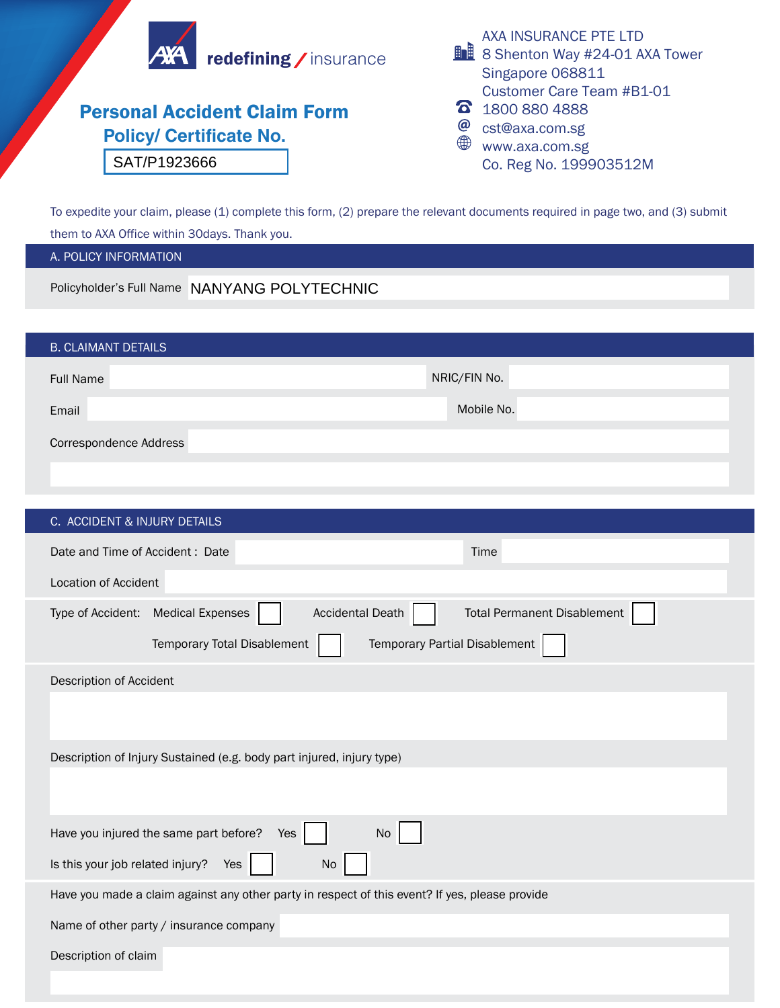

them to AXA Office within 30days. Thank you.

## A. POLICY INFORMATION

Policyholder's Full Name NANYANG POLYTECHNIC

| <b>B. CLAIMANT DETAILS</b> |              |
|----------------------------|--------------|
| <b>Full Name</b>           | NRIC/FIN No. |
| Email                      | Mobile No.   |
| Correspondence Address     |              |

| C. ACCIDENT & INJURY DETAILS                                                                           |  |  |  |  |
|--------------------------------------------------------------------------------------------------------|--|--|--|--|
| Time<br>Date and Time of Accident: Date                                                                |  |  |  |  |
| Location of Accident                                                                                   |  |  |  |  |
| Accidental Death<br><b>Medical Expenses</b><br><b>Total Permanent Disablement</b><br>Type of Accident: |  |  |  |  |
| Temporary Total Disablement<br>Temporary Partial Disablement                                           |  |  |  |  |
| Description of Accident                                                                                |  |  |  |  |
|                                                                                                        |  |  |  |  |
| Description of Injury Sustained (e.g. body part injured, injury type)                                  |  |  |  |  |
|                                                                                                        |  |  |  |  |
| Have you injured the same part before?<br>No<br>Yes                                                    |  |  |  |  |
| Is this your job related injury?<br>Yes  <br>No                                                        |  |  |  |  |
| Have you made a claim against any other party in respect of this event? If yes, please provide         |  |  |  |  |
| Name of other party / insurance company                                                                |  |  |  |  |
| Description of claim                                                                                   |  |  |  |  |